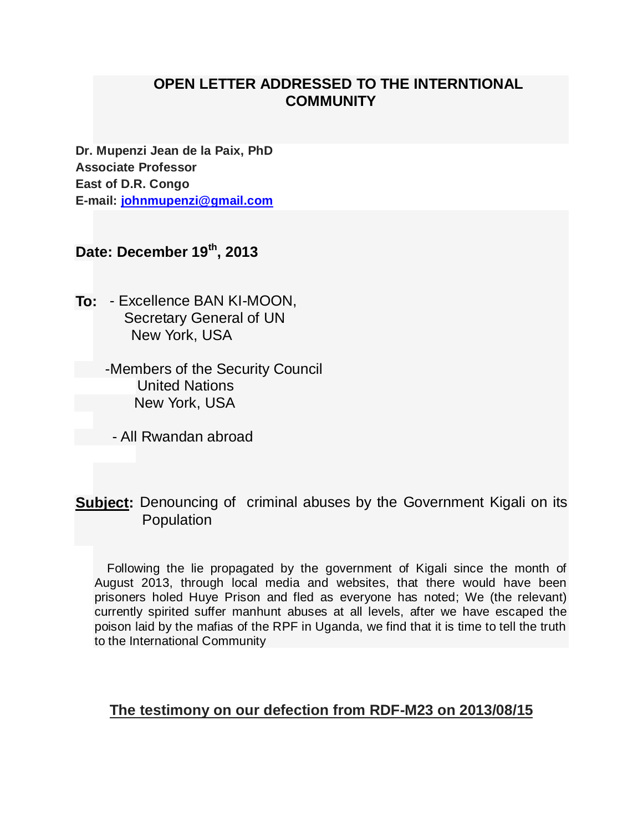## **OPEN LETTER ADDRESSED TO THE INTERNTIONAL COMMUNITY**

**Dr. Mupenzi Jean de la Paix, PhD Associate Professor East of D.R. Congo E-mail: [johnmupenzi@gmail.com](mailto:johnmupenzi@gmail.com)**

# **Date: December 19th , 2013**

- **To:**  Excellence BAN KI-MOON, Secretary General of UN New York, USA
	- -Members of the Security Council United Nations New York, USA
		- All Rwandan abroad
- **Subject:** Denouncing of criminal abuses by the Government Kigali on its Population

Following the lie propagated by the government of Kigali since the month of August 2013, through local media and websites, that there would have been prisoners holed Huye Prison and fled as everyone has noted; We (the relevant) currently spirited suffer manhunt abuses at all levels, after we have escaped the poison laid by the mafias of the RPF in Uganda, we find that it is time to tell the truth to the International Community

## **The testimony on our defection from RDF-M23 on 2013/08/15**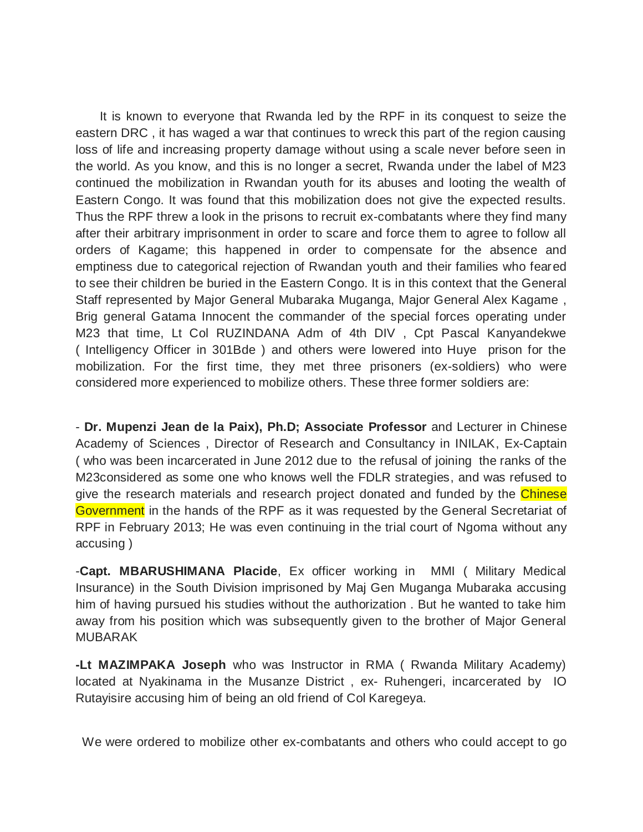It is known to everyone that Rwanda led by the RPF in its conquest to seize the eastern DRC , it has waged a war that continues to wreck this part of the region causing loss of life and increasing property damage without using a scale never before seen in the world. As you know, and this is no longer a secret, Rwanda under the label of M23 continued the mobilization in Rwandan youth for its abuses and looting the wealth of Eastern Congo. It was found that this mobilization does not give the expected results. Thus the RPF threw a look in the prisons to recruit ex-combatants where they find many after their arbitrary imprisonment in order to scare and force them to agree to follow all orders of Kagame; this happened in order to compensate for the absence and emptiness due to categorical rejection of Rwandan youth and their families who feared to see their children be buried in the Eastern Congo. It is in this context that the General Staff represented by Major General Mubaraka Muganga, Major General Alex Kagame , Brig general Gatama Innocent the commander of the special forces operating under M23 that time, Lt Col RUZINDANA Adm of 4th DIV , Cpt Pascal Kanyandekwe ( Intelligency Officer in 301Bde ) and others were lowered into Huye prison for the mobilization. For the first time, they met three prisoners (ex-soldiers) who were considered more experienced to mobilize others. These three former soldiers are:

- **Dr. Mupenzi Jean de la Paix), Ph.D; Associate Professor** and Lecturer in Chinese Academy of Sciences , Director of Research and Consultancy in INILAK, Ex-Captain ( who was been incarcerated in June 2012 due to the refusal of joining the ranks of the M23considered as some one who knows well the FDLR strategies, and was refused to give the research materials and research project donated and funded by the Chinese Government in the hands of the RPF as it was requested by the General Secretariat of RPF in February 2013; He was even continuing in the trial court of Ngoma without any accusing )

-**Capt. MBARUSHIMANA Placide**, Ex officer working in MMI ( Military Medical Insurance) in the South Division imprisoned by Maj Gen Muganga Mubaraka accusing him of having pursued his studies without the authorization . But he wanted to take him away from his position which was subsequently given to the brother of Major General MUBARAK

**-Lt MAZIMPAKA Joseph** who was Instructor in RMA ( Rwanda Military Academy) located at Nyakinama in the Musanze District , ex- Ruhengeri, incarcerated by IO Rutayisire accusing him of being an old friend of Col Karegeya.

We were ordered to mobilize other ex-combatants and others who could accept to go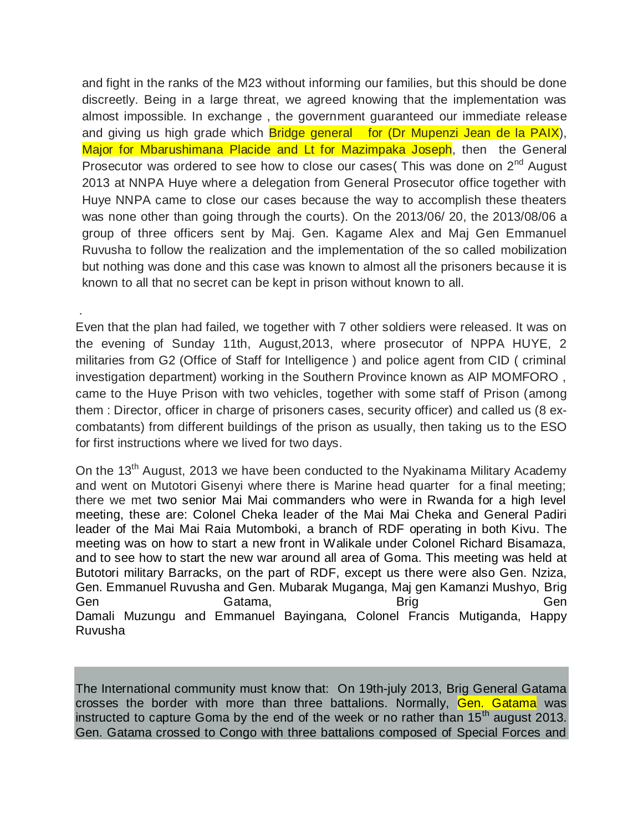and fight in the ranks of the M23 without informing our families, but this should be done discreetly. Being in a large threat, we agreed knowing that the implementation was almost impossible. In exchange , the government guaranteed our immediate release and giving us high grade which **Bridge general for (Dr Mupenzi Jean de la PAIX**), Major for Mbarushimana Placide and Lt for Mazimpaka Joseph, then the General Prosecutor was ordered to see how to close our cases (This was done on  $2<sup>nd</sup>$  August 2013 at NNPA Huye where a delegation from General Prosecutor office together with Huye NNPA came to close our cases because the way to accomplish these theaters was none other than going through the courts). On the 2013/06/ 20, the 2013/08/06 a group of three officers sent by Maj. Gen. Kagame Alex and Maj Gen Emmanuel Ruvusha to follow the realization and the implementation of the so called mobilization but nothing was done and this case was known to almost all the prisoners because it is known to all that no secret can be kept in prison without known to all.

Even that the plan had failed, we together with 7 other soldiers were released. It was on the evening of Sunday 11th, August,2013, where prosecutor of NPPA HUYE, 2 militaries from G2 (Office of Staff for Intelligence ) and police agent from CID ( criminal investigation department) working in the Southern Province known as AIP MOMFORO , came to the Huye Prison with two vehicles, together with some staff of Prison (among them : Director, officer in charge of prisoners cases, security officer) and called us (8 excombatants) from different buildings of the prison as usually, then taking us to the ESO for first instructions where we lived for two days.

.

On the 13<sup>th</sup> August, 2013 we have been conducted to the Nyakinama Military Academy and went on Mutotori Gisenyi where there is Marine head quarter for a final meeting; there we met two senior Mai Mai commanders who were in Rwanda for a high level meeting, these are: Colonel Cheka leader of the Mai Mai Cheka and General Padiri leader of the Mai Mai Raia Mutomboki, a branch of RDF operating in both Kivu. The meeting was on how to start a new front in Walikale under Colonel Richard Bisamaza, and to see how to start the new war around all area of Goma. This meeting was held at Butotori military Barracks, on the part of RDF, except us there were also Gen. Nziza, Gen. Emmanuel Ruvusha and Gen. Mubarak Muganga, Maj gen Kamanzi Mushyo, Brig Gen Gatama, Brig Gen Gen Damali Muzungu and Emmanuel Bayingana, Colonel Francis Mutiganda, Happy Ruvusha

The International community must know that: On 19th-july 2013, Brig General Gatama crosses the border with more than three battalions. Normally, Gen. Gatama was instructed to capture Goma by the end of the week or no rather than  $15<sup>th</sup>$  august 2013. Gen. Gatama crossed to Congo with three battalions composed of Special Forces and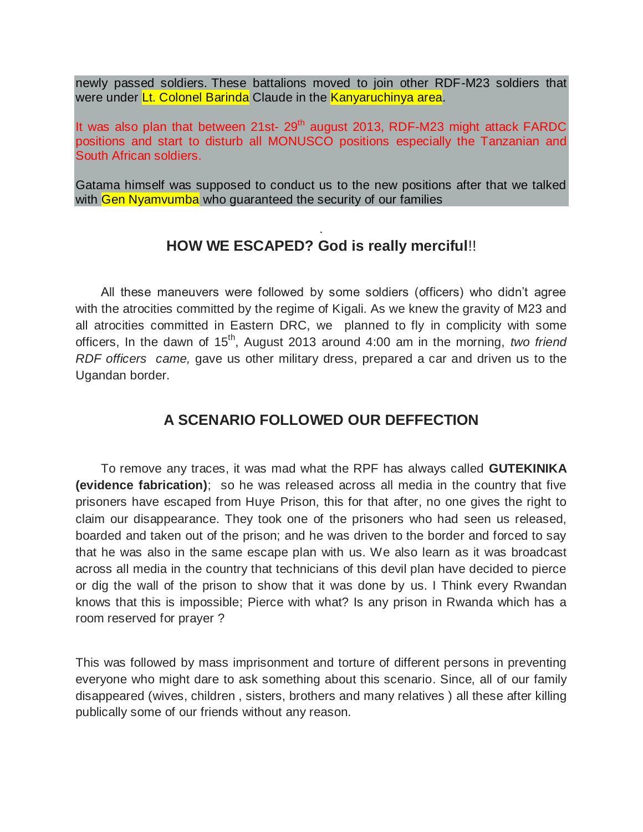newly passed soldiers. These battalions moved to join other RDF-M23 soldiers that were under Lt. Colonel Barinda Claude in the Kanyaruchinya area.

It was also plan that between 21st-  $29<sup>th</sup>$  august 2013, RDF-M23 might attack FARDC positions and start to disturb all MONUSCO positions especially the Tanzanian and South African soldiers.

Gatama himself was supposed to conduct us to the new positions after that we talked with Gen Nyamvumba who quaranteed the security of our families

#### . **HOW WE ESCAPED? God is really merciful**!!

All these maneuvers were followed by some soldiers (officers) who didn't agree with the atrocities committed by the regime of Kigali. As we knew the gravity of M23 and all atrocities committed in Eastern DRC, we planned to fly in complicity with some officers, In the dawn of 15<sup>th</sup>, August 2013 around 4:00 am in the morning, *two friend RDF officers came,* gave us other military dress, prepared a car and driven us to the Ugandan border.

# **A SCENARIO FOLLOWED OUR DEFFECTION**

To remove any traces, it was mad what the RPF has always called **GUTEKINIKA (evidence fabrication)**; so he was released across all media in the country that five prisoners have escaped from Huye Prison, this for that after, no one gives the right to claim our disappearance. They took one of the prisoners who had seen us released, boarded and taken out of the prison; and he was driven to the border and forced to say that he was also in the same escape plan with us. We also learn as it was broadcast across all media in the country that technicians of this devil plan have decided to pierce or dig the wall of the prison to show that it was done by us. I Think every Rwandan knows that this is impossible; Pierce with what? Is any prison in Rwanda which has a room reserved for prayer ?

This was followed by mass imprisonment and torture of different persons in preventing everyone who might dare to ask something about this scenario. Since, all of our family disappeared (wives, children , sisters, brothers and many relatives ) all these after killing publically some of our friends without any reason.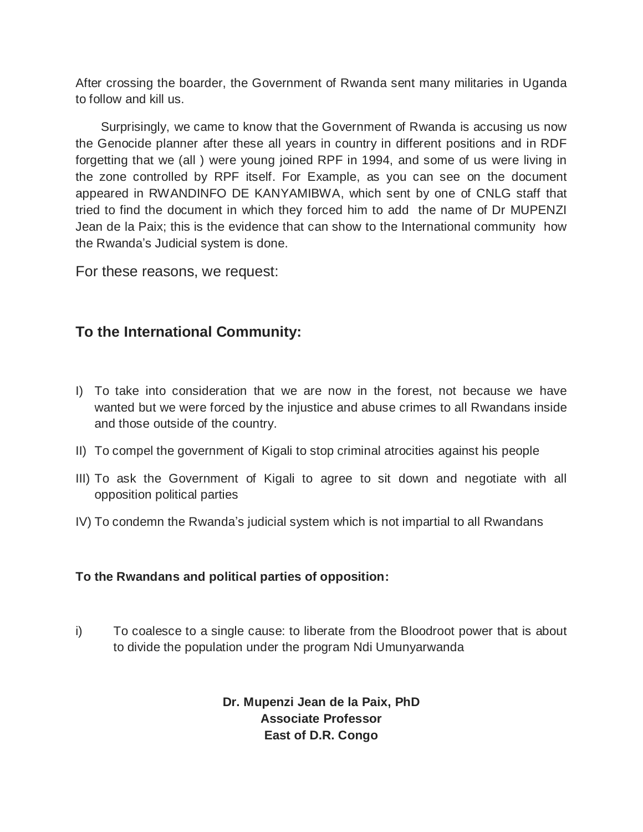After crossing the boarder, the Government of Rwanda sent many militaries in Uganda to follow and kill us.

Surprisingly, we came to know that the Government of Rwanda is accusing us now the Genocide planner after these all years in country in different positions and in RDF forgetting that we (all ) were young joined RPF in 1994, and some of us were living in the zone controlled by RPF itself. For Example, as you can see on the document appeared in RWANDINFO DE KANYAMIBWA, which sent by one of CNLG staff that tried to find the document in which they forced him to add the name of Dr MUPENZI Jean de la Paix; this is the evidence that can show to the International community how the Rwanda's Judicial system is done.

For these reasons, we request:

# **To the International Community:**

- I) To take into consideration that we are now in the forest, not because we have wanted but we were forced by the injustice and abuse crimes to all Rwandans inside and those outside of the country.
- II) To compel the government of Kigali to stop criminal atrocities against his people
- III) To ask the Government of Kigali to agree to sit down and negotiate with all opposition political parties
- IV) To condemn the Rwanda's judicial system which is not impartial to all Rwandans

#### **To the Rwandans and political parties of opposition:**

i) To coalesce to a single cause: to liberate from the Bloodroot power that is about to divide the population under the program Ndi Umunyarwanda

> **Dr. Mupenzi Jean de la Paix, PhD Associate Professor East of D.R. Congo**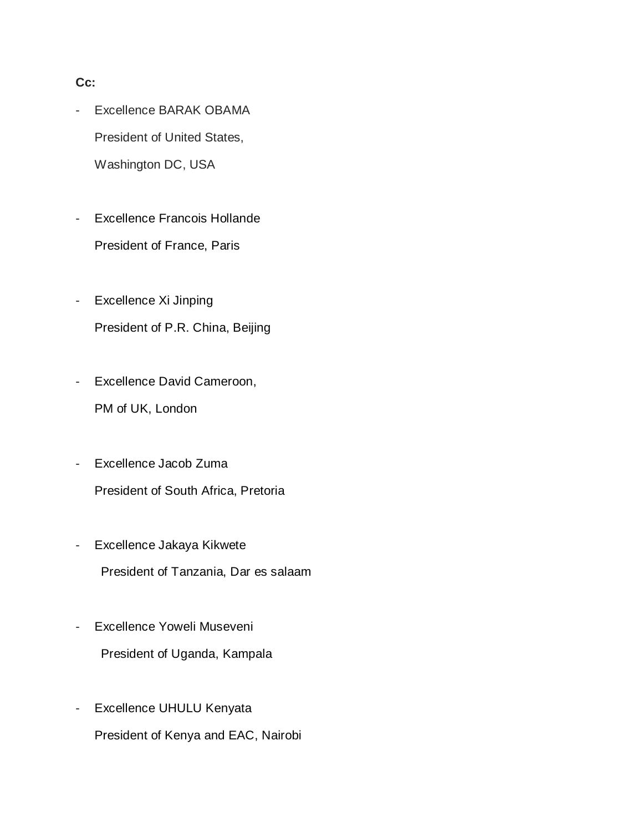#### **Cc:**

- Excellence BARAK OBAMA President of United States, Washington DC, USA
- Excellence Francois Hollande President of France, Paris
- Excellence Xi Jinping President of P.R. China, Beijing
- Excellence David Cameroon, PM of UK, London
- Excellence Jacob Zuma President of South Africa, Pretoria
- Excellence Jakaya Kikwete President of Tanzania, Dar es salaam
- Excellence Yoweli Museveni President of Uganda, Kampala
- Excellence UHULU Kenyata President of Kenya and EAC, Nairobi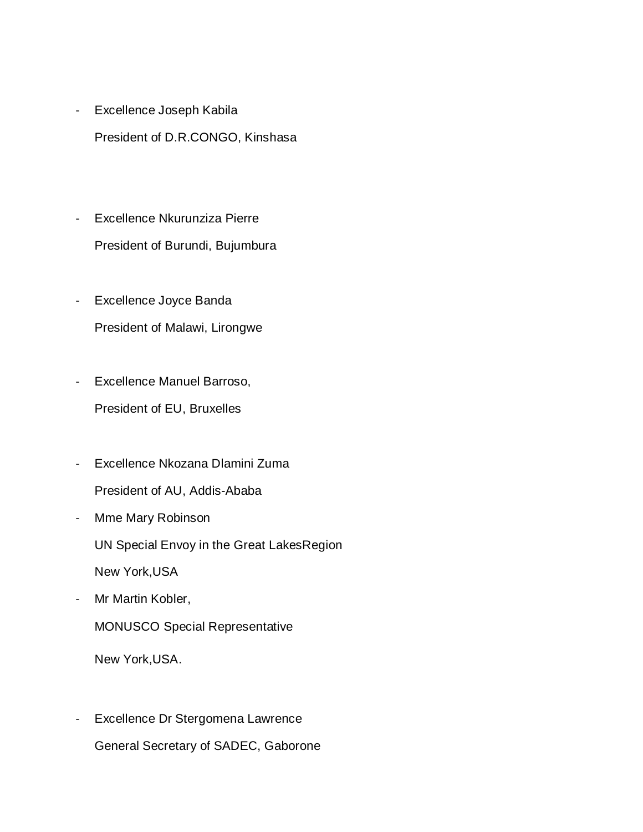- Excellence Joseph Kabila President of D.R.CONGO, Kinshasa
- Excellence Nkurunziza Pierre President of Burundi, Bujumbura
- Excellence Joyce Banda President of Malawi, Lirongwe
- Excellence Manuel Barroso, President of EU, Bruxelles
- Excellence Nkozana Dlamini Zuma President of AU, Addis-Ababa
- Mme Mary Robinson

UN Special Envoy in the Great LakesRegion

New York,USA

- Mr Martin Kobler,

MONUSCO Special Representative

New York,USA.

- Excellence Dr Stergomena Lawrence General Secretary of SADEC, Gaborone